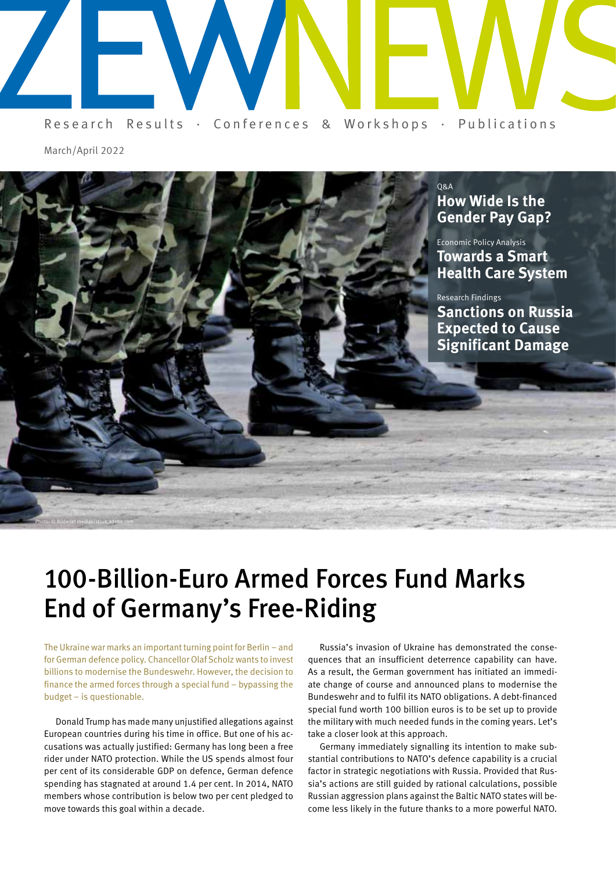

March/April 2022



# 100-Billion-Euro Armed Forces Fund Marks End of Germany's Free-Riding

The Ukraine war marks an important turning point for Berlin – and for German defence policy. Chancellor Olaf Scholz wants to invest billions to modernise the Bundeswehr. However, the decision to finance the armed forces through a special fund – bypassing the budget – is questionable.

Donald Trump has made many unjustified allegations against European countries during his time in office. But one of his accusations was actually justified: Germany has long been a free rider under NATO protection. While the US spends almost four per cent of its considerable GDP on defence, German defence spending has stagnated at around 1.4 per cent. In 2014, NATO members whose contribution is below two per cent pledged to move towards this goal within a decade.

Russia's invasion of Ukraine has demonstrated the consequences that an insufficient deterrence capability can have. As a result, the German government has initiated an immediate change of course and announced plans to modernise the Bundeswehr and to fulfil its NATO obligations. A debt-financed special fund worth 100 billion euros is to be set up to provide the military with much needed funds in the coming years. Let's take a closer look at this approach.

Germany immediately signalling its intention to make substantial contributions to NATO's defence capability is a crucial factor in strategic negotiations with Russia. Provided that Russia's actions are still guided by rational calculations, possible Russian aggression plans against the Baltic NATO states will become less likely in the future thanks to a more powerful NATO.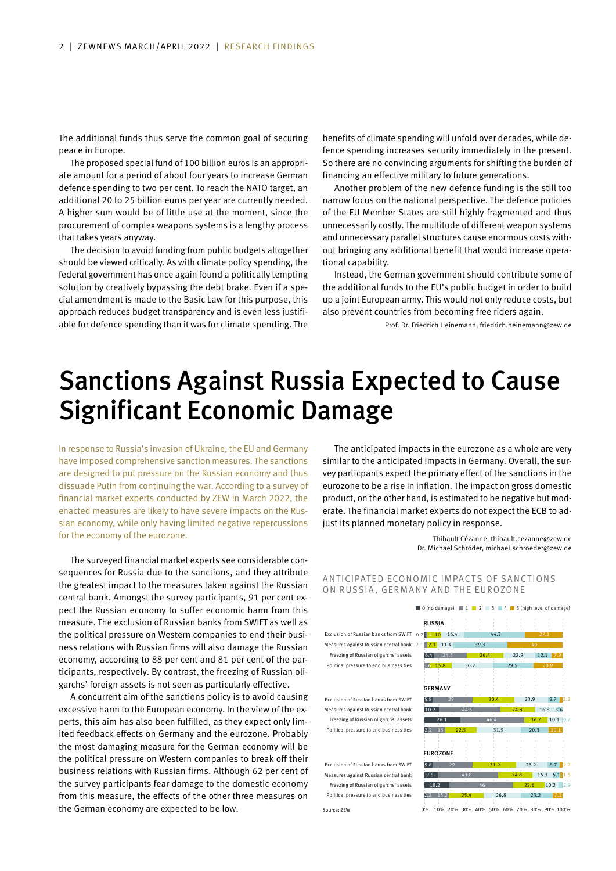The additional funds thus serve the common goal of securing peace in Europe.

The proposed special fund of 100 billion euros is an appropriate amount for a period of about four years to increase German defence spending to two per cent. To reach the NATO target, an additional 20 to 25 billion euros per year are currently needed. A higher sum would be of little use at the moment, since the procurement of complex weapons systems is a lengthy process that takes years anyway.

The decision to avoid funding from public budgets altogether should be viewed critically. As with climate policy spending, the federal government has once again found a politically tempting solution by creatively bypassing the debt brake. Even if a special amendment is made to the Basic Law for this purpose, this approach reduces budget transparency and is even less justifiable for defence spending than it was for climate spending. The

benefits of climate spending will unfold over decades, while defence spending increases security immediately in the present. So there are no convincing arguments for shifting the burden of financing an effective military to future generations.

Another problem of the new defence funding is the still too narrow focus on the national perspective. The defence policies of the EU Member States are still highly fragmented and thus unnecessarily costly. The multitude of different weapon systems and unnecessary parallel structures cause enormous costs without bringing any additional benefit that would increase operational capability.

Instead, the German government should contribute some of the additional funds to the EU's public budget in order to build up a joint European army. This would not only reduce costs, but also prevent countries from becoming free riders again.

Prof. Dr. Friedrich Heinemann, friedrich.heinemann@zew.de

## Sanctions Against Russia Expected to Cause Significant Economic Damage

Source: ZEW

In response to Russia's invasion of Ukraine, the EU and Germany have imposed comprehensive sanction measures. The sanctions are designed to put pressure on the Russian economy and thus dissuade Putin from continuing the war. According to a survey of financial market experts conducted by ZEW in March 2022, the enacted measures are likely to have severe impacts on the Russian economy, while only having limited negative repercussions for the economy of the eurozone.

The surveyed financial market experts see considerable consequences for Russia due to the sanctions, and they attribute the greatest impact to the measures taken against the Russian central bank. Amongst the survey participants, 91 per cent expect the Russian economy to suffer economic harm from this measure. The exclusion of Russian banks from SWIFT as well as the political pressure on Western companies to end their business relations with Russian firms will also damage the Russian economy, according to 88 per cent and 81 per cent of the participants, respectively. By contrast, the freezing of Russian oligarchs' foreign assets is not seen as particularly effective.

A concurrent aim of the sanctions policy is to avoid causing excessive harm to the European economy. In the view of the experts, this aim has also been fulfilled, as they expect only limited feedback effects on Germany and the eurozone. Probably the most damaging measure for the German economy will be the political pressure on Western companies to break off their business relations with Russian firms. Although 62 per cent of the survey participants fear damage to the domestic economy from this measure, the effects of the other three measures on the German economy are expected to be low.

The anticipated impacts in the eurozone as a whole are very similar to the anticipated impacts in Germany. Overall, the survey particpants expect the primary effect of the sanctions in the eurozone to be a rise in inflation. The impact on gross domestic product, on the other hand, is estimated to be negative but moderate. The financial market experts do not expect the ECB to adjust its planned monetary policy in response.

> Thibault Cézanne, thibault.cezanne@zew.de Dr. Michael Schröder, michael.schroeder@zew.de

 $\Box$  0 (no damage)  $\Box$  1  $\Box$  2  $\Box$  3  $\Box$  4  $\Box$  5 (high level of damage)

### ANTICIPATED ECONOMIC IMPACTS OF SANCTIONS ON RUSSIA, GERMANY AND THE EUROZONE

RUSSIA Exclusion of Russian banks from SWIFT 0.7 **14 10** 16.4 44.3 Measures against Russian central bank  $2.1$  7.1 11.4 39.3 Freezing of Russian oligarchs' assets 6.4 24.3 26.4 22.9 12.1 7.9 Political pressure to end business ties 3.6 15.8 30.2 29.5 **GERMANY** Exclusion of Russian banks from SWIFT  $\overline{5.8}$   $\overline{29}$   $\overline{30.4}$   $\overline{30.4}$   $\overline{23.9}$   $\overline{8.7}$   $\overline{2.2}$ Measures against Russian central bank 10.2 44.5 24.8 16.8 3.6 Freezing of Russian oligarchs' assets 26.1 46.4 16.7 10.1 0.7 Political pressure to end business ties  $\overline{2.2}$  13  $\overline{22.5}$  31.9 20.3 10.1 **EUROZONE** Exclusion of Russian banks from SWIFT  $\overline{5.8}$  29 31.2 31.2 23.2 8.7 2.2 Measures against Russian central bank 9.5 43.8 24.8 24.8 15.3 5.1 1.5 Freezing of Russian oligarchs' assets  $\frac{1}{18.2}$   $\frac{18.2}{10.2}$   $\frac{46}{10.2}$   $\frac{22.6}{10.2}$   $\frac{10.2}{2.9}$ Political pressure to end business ties 2.2 15.2 25.4 26.8 23.2 7.

0% 10% 20% 30% 40% 50% 60% 70% 80% 90% 100%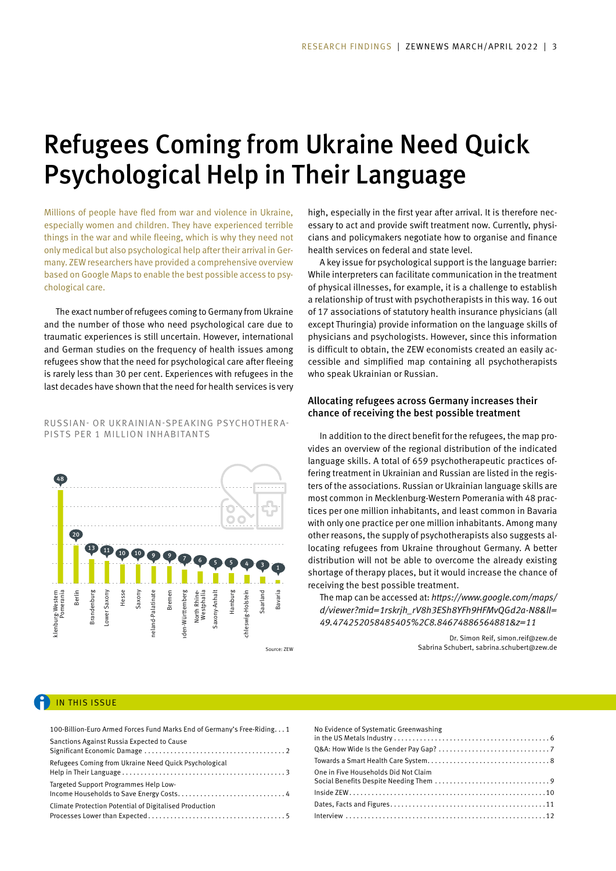# Refugees Coming from Ukraine Need Quick Psychological Help in Their Language

Millions of people have fled from war and violence in Ukraine, especially women and children. They have experienced terrible things in the war and while fleeing, which is why they need not only medical but also psychological help after their arrival in Germany. ZEW researchers have provided a comprehensive overview based on Google Maps to enable the best possible access to psychological care.

The exact number of refugees coming to Germany from Ukraine and the number of those who need psychological care due to traumatic experiences is still uncertain. However, international and German studies on the frequency of health issues among refugees show that the need for psychological care after fleeing is rarely less than 30 per cent. Experiences with refugees in the last decades have shown that the need for health services is very

### RUSSIAN- OR UKRAINIAN-SPEAKING PSYCHOTHERA-PISTS PER 1 MILLION INHABITANTS



high, especially in the first year after arrival. It is therefore necessary to act and provide swift treatment now. Currently, physicians and policymakers negotiate how to organise and finance health services on federal and state level.

A key issue for psychological support is the language barrier: While interpreters can facilitate communication in the treatment of physical illnesses, for example, it is a challenge to establish a relationship of trust with psychotherapists in this way. 16 out of 17 associations of statutory health insurance physicians (all except Thuringia) provide information on the language skills of physicians and psychologists. However, since this information is difficult to obtain, the ZEW economists created an easily accessible and simplified map containing all psychotherapists who speak Ukrainian or Russian.

### Allocating refugees across Germany increases their chance of receiving the best possible treatment

In addition to the direct benefit for the refugees, the map provides an overview of the regional distribution of the indicated language skills. A total of 659 psychotherapeutic practices offering treatment in Ukrainian and Russian are listed in the registers of the associations. Russian or Ukrainian language skills are most common in Mecklenburg-Western Pomerania with 48 practices per one million inhabitants, and least common in Bavaria with only one practice per one million inhabitants. Among many other reasons, the supply of psychotherapists also suggests allocating refugees from Ukraine throughout Germany. A better distribution will not be able to overcome the already existing shortage of therapy places, but it would increase the chance of receiving the best possible treatment.

The map can be accessed at: *https://www.google.com/maps/ d/viewer?mid=1rskrjh\_rV8h3ESh8YFh9HFMvQGd2a-N8&ll= 49.474252058485405%2C8.84674886564881&z=11*

> Dr. Simon Reif, simon.reif@zew.de Sabrina Schubert, sabrina.schubert@zew.de

### IN THIS ISSUE

| 100-Billion-Euro Armed Forces Fund Marks End of Germany's Free-Riding. 1 |
|--------------------------------------------------------------------------|
| Sanctions Against Russia Expected to Cause                               |
| Refugees Coming from Ukraine Need Quick Psychological                    |
| Targeted Support Programmes Help Low-                                    |
| Climate Protection Potential of Digitalised Production                   |

| No Evidence of Systematic Greenwashing |
|----------------------------------------|
|                                        |
|                                        |
| One in Five Households Did Not Claim   |
|                                        |
|                                        |
|                                        |
|                                        |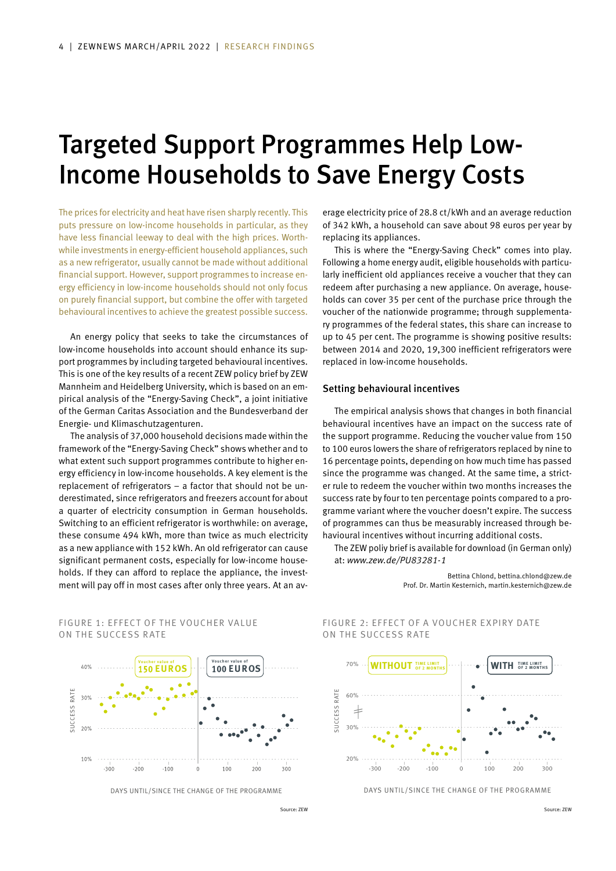# Targeted Support Programmes Help Low-Income Households to Save Energy Costs

The prices for electricity and heat have risen sharply recently. This puts pressure on low-income households in particular, as they have less financial leeway to deal with the high prices. Worthwhile investments in energy-efficient household appliances, such as a new refrigerator, usually cannot be made without additional financial support. However, support programmes to increase energy efficiency in low-income households should not only focus on purely financial support, but combine the offer with targeted behavioural incentives to achieve the greatest possible success.

An energy policy that seeks to take the circumstances of low-income households into account should enhance its support programmes by including targeted behavioural incentives. This is one of the key results of a recent ZEW policy brief by ZEW Mannheim and Heidelberg University, which is based on an empirical analysis of the "Energy-Saving Check", a joint initiative of the German Caritas Association and the Bundesverband der Energie- und Klimaschutzagenturen.

The analysis of 37,000 household decisions made within the framework of the "Energy-Saving Check" shows whether and to what extent such support programmes contribute to higher energy efficiency in low-income households. A key element is the replacement of refrigerators – a factor that should not be underestimated, since refrigerators and freezers account for about a quarter of electricity consumption in German households. Switching to an efficient refrigerator is worthwhile: on average, these consume 494 kWh, more than twice as much electricity as a new appliance with 152 kWh. An old refrigerator can cause significant permanent costs, especially for low-income households. If they can afford to replace the appliance, the investment will pay off in most cases after only three years. At an average electricity price of 28.8 ct/kWh and an average reduction of 342 kWh, a household can save about 98 euros per year by replacing its appliances.

This is where the "Energy-Saving Check" comes into play. Following a home energy audit, eligible households with particularly inefficient old appliances receive a voucher that they can redeem after purchasing a new appliance. On average, households can cover 35 per cent of the purchase price through the voucher of the nationwide programme; through supplementary programmes of the federal states, this share can increase to up to 45 per cent. The programme is showing positive results: between 2014 and 2020, 19,300 inefficient refrigerators were replaced in low-income households.

#### Setting behavioural incentives

The empirical analysis shows that changes in both financial behavioural incentives have an impact on the success rate of the support programme. Reducing the voucher value from 150 to 100 euros lowers the share of refrigerators replaced by nine to 16 percentage points, depending on how much time has passed since the programme was changed. At the same time, a stricter rule to redeem the voucher within two months increases the success rate by four to ten percentage points compared to a programme variant where the voucher doesn't expire. The success of programmes can thus be measurably increased through behavioural incentives without incurring additional costs.

The ZEW poliy brief is available for download (in German only) at: *www.zew.de/PU83281-1*

> Bettina Chlond, bettina.chlond@zew.de Prof. Dr. Martin Kesternich, martin.kesternich@zew.de



FIGURE 1: FFFFCT OF THE VOUCHER VALUE

ON THE SUCCESS RATE

DAYS UNTIL/SINCE THE CHANGE OF THE PROGRAMME

### FIGURE 2: FFFFCT OF A VOUCHER EXPIRY DATE ON THE SUCCESS RATE



DAYS UNTIL/SINCE THE CHANGE OF THE PROGRAMME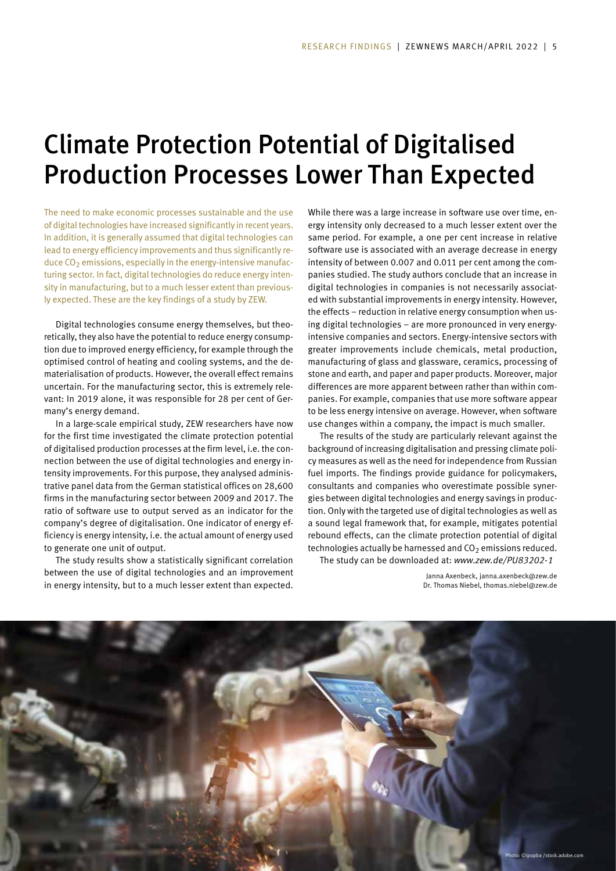# Climate Protection Potential of Digitalised Production Processes Lower Than Expected

The need to make economic processes sustainable and the use of digital technologies have increased significantly in recent years. In addition, it is generally assumed that digital technologies can lead to energy efficiency improvements and thus significantly reduce  $CO<sub>2</sub>$  emissions, especially in the energy-intensive manufacturing sector. In fact, digital technologies do reduce energy intensity in manufacturing, but to a much lesser extent than previously expected. These are the key findings of a study by ZEW.

Digital technologies consume energy themselves, but theoretically, they also have the potential to reduce energy consumption due to improved energy efficiency, for example through the optimised control of heating and cooling systems, and the dematerialisation of products. However, the overall effect remains uncertain. For the manufacturing sector, this is extremely relevant: In 2019 alone, it was responsible for 28 per cent of Germany's energy demand.

In a large-scale empirical study, ZEW researchers have now for the first time investigated the climate protection potential of digitalised production processes at the firm level, i.e. the connection between the use of digital technologies and energy intensity improvements. For this purpose, they analysed administrative panel data from the German statistical offices on 28,600 firms in the manufacturing sector between 2009 and 2017. The ratio of software use to output served as an indicator for the company's degree of digitalisation. One indicator of energy efficiency is energy intensity, i.e. the actual amount of energy used to generate one unit of output.

The study results show a statistically significant correlation between the use of digital technologies and an improvement in energy intensity, but to a much lesser extent than expected.

While there was a large increase in software use over time, energy intensity only decreased to a much lesser extent over the same period. For example, a one per cent increase in relative software use is associated with an average decrease in energy intensity of between 0.007 and 0.011 per cent among the companies studied. The study authors conclude that an increase in digital technologies in companies is not necessarily associated with substantial improvements in energy intensity. However, the effects – reduction in relative energy consumption when using digital technologies – are more pronounced in very energyintensive companies and sectors. Energy-intensive sectors with greater improvements include chemicals, metal production, manufacturing of glass and glassware, ceramics, processing of stone and earth, and paper and paper products. Moreover, major differences are more apparent between rather than within companies. For example, companies that use more software appear to be less energy intensive on average. However, when software use changes within a company, the impact is much smaller.

The results of the study are particularly relevant against the background of increasing digitalisation and pressing climate policy measures as well as the need for independence from Russian fuel imports. The findings provide guidance for policymakers, consultants and companies who overestimate possible synergies between digital technologies and energy savings in production. Only with the targeted use of digital technologies as well as a sound legal framework that, for example, mitigates potential rebound effects, can the climate protection potential of digital technologies actually be harnessed and  $CO<sub>2</sub>$  emissions reduced. The study can be downloaded at: *www.zew.de/PU83202-1*

> Janna Axenbeck, janna.axenbeck@zew.de Dr. Thomas Niebel, thomas.niebel@zew.de

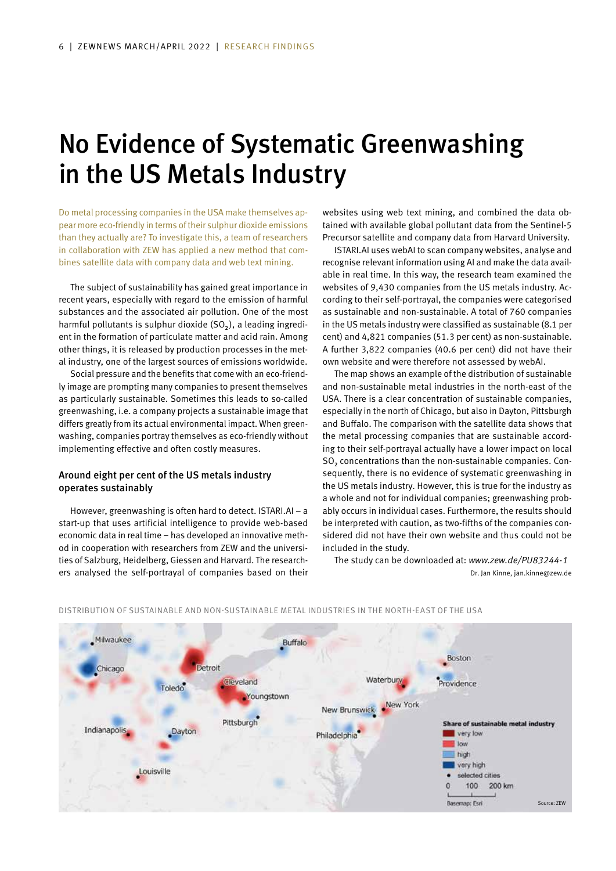# No Evidence of Systematic Greenwashing in the US Metals Industry

Do metal processing companies in the USA make themselves appear more eco-friendly in terms of their sulphur dioxide emissions than they actually are? To investigate this, a team of researchers in collaboration with ZEW has applied a new method that combines satellite data with company data and web text mining.

The subject of sustainability has gained great importance in recent years, especially with regard to the emission of harmful substances and the associated air pollution. One of the most harmful pollutants is sulphur dioxide (SO<sub>2</sub>), a leading ingredient in the formation of particulate matter and acid rain. Among other things, it is released by production processes in the metal industry, one of the largest sources of emissions worldwide.

Social pressure and the benefits that come with an eco-friendly image are prompting many companies to present themselves as particularly sustainable. Sometimes this leads to so-called greenwashing, i.e. a company projects a sustainable image that differs greatly from its actual environmental impact. When greenwashing, companies portray themselves as eco-friendly without implementing effective and often costly measures.

### Around eight per cent of the US metals industry operates sustainably

However, greenwashing is often hard to detect. ISTARI.AI – a start-up that uses artificial intelligence to provide web-based economic data in real time – has developed an innovative method in cooperation with researchers from ZEW and the universities of Salzburg, Heidelberg, Giessen and Harvard. The researchers analysed the self-portrayal of companies based on their websites using web text mining, and combined the data obtained with available global pollutant data from the Sentinel-5 Precursor satellite and company data from Harvard University.

ISTARI.AI uses webAI to scan company websites, analyse and recognise relevant information using AI and make the data available in real time. In this way, the research team examined the websites of 9,430 companies from the US metals industry. According to their self-portrayal, the companies were categorised as sustainable and non-sustainable. A total of 760 companies in the US metals industry were classified as sustainable (8.1 per cent) and 4,821 companies (51.3 per cent) as non-sustainable. A further 3,822 companies (40.6 per cent) did not have their own website and were therefore not assessed by webAI.

The map shows an example of the distribution of sustainable and non-sustainable metal industries in the north-east of the USA. There is a clear concentration of sustainable companies, especially in the north of Chicago, but also in Dayton, Pittsburgh and Buffalo. The comparison with the satellite data shows that the metal processing companies that are sustainable according to their self-portrayal actually have a lower impact on local SO₂ concentrations than the non-sustainable companies. Consequently, there is no evidence of systematic greenwashing in the US metals industry. However, this is true for the industry as a whole and not for individual companies; greenwashing probably occurs in individual cases. Furthermore, the results should be interpreted with caution, as two-fifths of the companies considered did not have their own website and thus could not be included in the study.

The study can be downloaded at: *www.zew.de/PU83244-1* Dr. Jan Kinne, jan.kinne@zew.de



#### DISTRIBUTION OF SUSTAINABLE AND NON-SUSTAINABLE METAL INDUSTRIES IN THE NORTH-EAST OF THE USA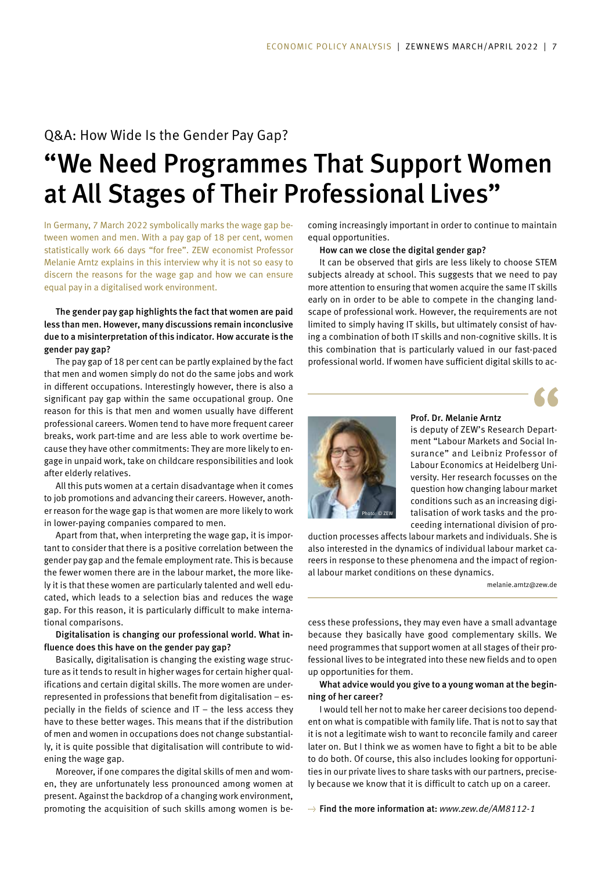## Q&A: How Wide Is the Gender Pay Gap?

# "We Need Programmes That Support Women at All Stages of Their Professional Lives"

In Germany, 7 March 2022 symbolically marks the wage gap between women and men. With a pay gap of 18 per cent, women statistically work 66 days "for free". ZEW economist Professor Melanie Arntz explains in this interview why it is not so easy to discern the reasons for the wage gap and how we can ensure equal pay in a digitalised work environment.

### The gender pay gap highlights the fact that women are paid less than men. However, many discussions remain inconclusive due to a misinterpretation of this indicator. How accurate is the gender pay gap?

The pay gap of 18 per cent can be partly explained by the fact that men and women simply do not do the same jobs and work in different occupations. Interestingly however, there is also a significant pay gap within the same occupational group. One reason for this is that men and women usually have different professional careers. Women tend to have more frequent career breaks, work part-time and are less able to work overtime because they have other commitments: They are more likely to engage in unpaid work, take on childcare responsibilities and look after elderly relatives.

All this puts women at a certain disadvantage when it comes to job promotions and advancing their careers. However, another reason for the wage gap is that women are more likely to work in lower-paying companies compared to men.

Apart from that, when interpreting the wage gap, it is important to consider that there is a positive correlation between the gender pay gap and the female employment rate. This is because the fewer women there are in the labour market, the more likely it is that these women are particularly talented and well educated, which leads to a selection bias and reduces the wage gap. For this reason, it is particularly difficult to make international comparisons.

### Digitalisation is changing our professional world. What influence does this have on the gender pay gap?

Basically, digitalisation is changing the existing wage structure as it tends to result in higher wages for certain higher qualifications and certain digital skills. The more women are underrepresented in professions that benefit from digitalisation – especially in the fields of science and IT – the less access they have to these better wages. This means that if the distribution of men and women in occupations does not change substantially, it is quite possible that digitalisation will contribute to widening the wage gap.

Moreover, if one compares the digital skills of men and women, they are unfortunately less pronounced among women at present. Against the backdrop of a changing work environment, promoting the acquisition of such skills among women is becoming increasingly important in order to continue to maintain equal opportunities.

How can we close the digital gender gap?

It can be observed that girls are less likely to choose STEM subjects already at school. This suggests that we need to pay more attention to ensuring that women acquire the same IT skills early on in order to be able to compete in the changing landscape of professional work. However, the requirements are not limited to simply having IT skills, but ultimately consist of having a combination of both IT skills and non-cognitive skills. It is this combination that is particularly valued in our fast-paced professional world. If women have sufficient digital skills to ac-





## Prof. Dr. Melanie Arntz

is deputy of ZEW's Research Department "Labour Markets and Social Insurance" and Leibniz Professor of Labour Economics at Heidelberg University. Her research focusses on the question how changing labour market conditions such as an increasing digitalisation of work tasks and the proceeding international division of pro-

duction processes affects labour markets and individuals. She is also interested in the dynamics of individual labour market careers in response to these phenomena and the impact of regional labour market conditions on these dynamics.

melanie.arntz@zew.de

cess these professions, they may even have a small advantage because they basically have good complementary skills. We need programmes that support women at all stages of their professional lives to be integrated into these new fields and to open up opportunities for them.

### What advice would you give to a young woman at the beginning of her career?

I would tell her not to make her career decisions too dependent on what is compatible with family life. That is not to say that it is not a legitimate wish to want to reconcile family and career later on. But I think we as women have to fight a bit to be able to do both. Of course, this also includes looking for opportunities in our private lives to share tasks with our partners, precisely because we know that it is difficult to catch up on a career.

→ Find the more information at: *www.zew.de/AM8112-1*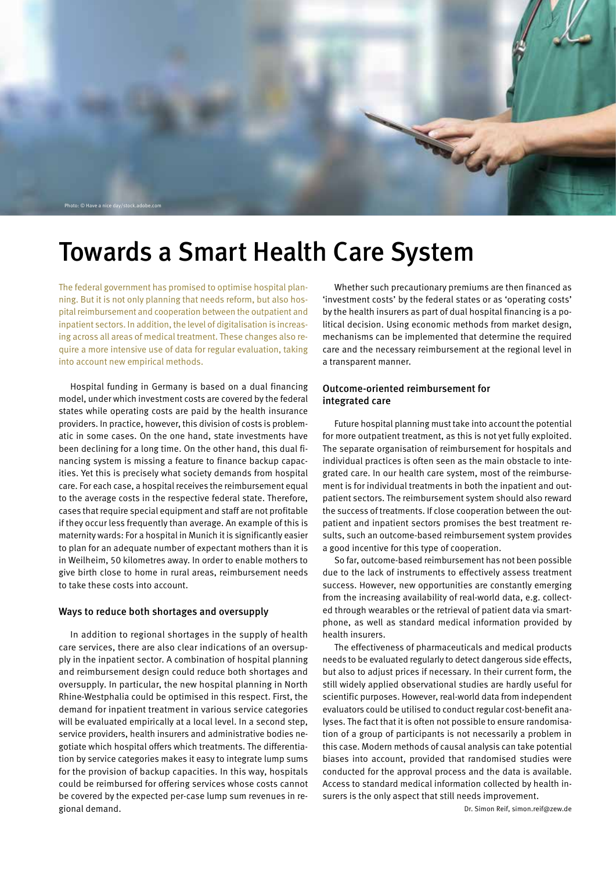

## Towards a Smart Health Care System

The federal government has promised to optimise hospital planning. But it is not only planning that needs reform, but also hospital reimbursement and cooperation between the outpatient and inpatient sectors. In addition, the level of digitalisation is increasing across all areas of medical treatment. These changes also require a more intensive use of data for regular evaluation, taking into account new empirical methods.

Hospital funding in Germany is based on a dual financing model, under which investment costs are covered by the federal states while operating costs are paid by the health insurance providers. In practice, however, this division of costs is problematic in some cases. On the one hand, state investments have been declining for a long time. On the other hand, this dual financing system is missing a feature to finance backup capacities. Yet this is precisely what society demands from hospital care. For each case, a hospital receives the reimbursement equal to the average costs in the respective federal state. Therefore, cases that require special equipment and staff are not profitable if they occur less frequently than average. An example of this is maternity wards: For a hospital in Munich it is significantly easier to plan for an adequate number of expectant mothers than it is in Weilheim, 50 kilometres away. In order to enable mothers to give birth close to home in rural areas, reimbursement needs to take these costs into account.

#### Ways to reduce both shortages and oversupply

In addition to regional shortages in the supply of health care services, there are also clear indications of an oversupply in the inpatient sector. A combination of hospital planning and reimbursement design could reduce both shortages and oversupply. In particular, the new hospital planning in North Rhine-Westphalia could be optimised in this respect. First, the demand for inpatient treatment in various service categories will be evaluated empirically at a local level. In a second step, service providers, health insurers and administrative bodies negotiate which hospital offers which treatments. The differentiation by service categories makes it easy to integrate lump sums for the provision of backup capacities. In this way, hospitals could be reimbursed for offering services whose costs cannot be covered by the expected per-case lump sum revenues in regional demand.

Whether such precautionary premiums are then financed as 'investment costs' by the federal states or as 'operating costs' by the health insurers as part of dual hospital financing is a political decision. Using economic methods from market design, mechanisms can be implemented that determine the required care and the necessary reimbursement at the regional level in a transparent manner.

### Outcome-oriented reimbursement for integrated care

Future hospital planning must take into account the potential for more outpatient treatment, as this is not yet fully exploited. The separate organisation of reimbursement for hospitals and individual practices is often seen as the main obstacle to integrated care. In our health care system, most of the reimbursement is for individual treatments in both the inpatient and outpatient sectors. The reimbursement system should also reward the success of treatments. If close cooperation between the outpatient and inpatient sectors promises the best treatment results, such an outcome-based reimbursement system provides a good incentive for this type of cooperation.

So far, outcome-based reimbursement has not been possible due to the lack of instruments to effectively assess treatment success. However, new opportunities are constantly emerging from the increasing availability of real-world data, e.g. collected through wearables or the retrieval of patient data via smartphone, as well as standard medical information provided by health insurers.

The effectiveness of pharmaceuticals and medical products needs to be evaluated regularly to detect dangerous side effects, but also to adjust prices if necessary. In their current form, the still widely applied observational studies are hardly useful for scientific purposes. However, real-world data from independent evaluators could be utilised to conduct regular cost-benefit analyses. The fact that it is often not possible to ensure randomisation of a group of participants is not necessarily a problem in this case. Modern methods of causal analysis can take potential biases into account, provided that randomised studies were conducted for the approval process and the data is available. Access to standard medical information collected by health insurers is the only aspect that still needs improvement.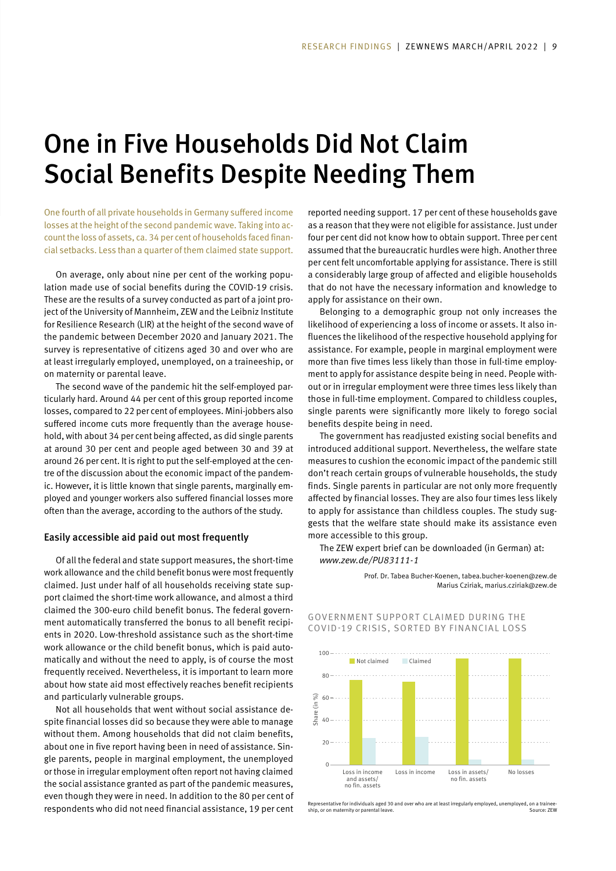## One in Five Households Did Not Claim Social Benefits Despite Needing Them

One fourth of all private households in Germany suffered income losses at the height of the second pandemic wave. Taking into account the loss of assets, ca. 34 per cent of households faced financial setbacks. Less than a quarter of them claimed state support.

On average, only about nine per cent of the working population made use of social benefits during the COVID-19 crisis. These are the results of a survey conducted as part of a joint project of the University of Mannheim, ZEW and the Leibniz Institute for Resilience Research (LIR) at the height of the second wave of the pandemic between December 2020 and January 2021. The survey is representative of citizens aged 30 and over who are at least irregularly employed, unemployed, on a traineeship, or on maternity or parental leave.

The second wave of the pandemic hit the self-employed particularly hard. Around 44 per cent of this group reported income losses, compared to 22 per cent of employees. Mini-jobbers also suffered income cuts more frequently than the average household, with about 34 per cent being affected, as did single parents at around 30 per cent and people aged between 30 and 39 at around 26 per cent. It is right to put the self-employed at the centre of the discussion about the economic impact of the pandemic. However, it is little known that single parents, marginally employed and younger workers also suffered financial losses more often than the average, according to the authors of the study.

### Easily accessible aid paid out most frequently

Of all the federal and state support measures, the short-time work allowance and the child benefit bonus were most frequently claimed. Just under half of all households receiving state support claimed the short-time work allowance, and almost a third claimed the 300-euro child benefit bonus. The federal government automatically transferred the bonus to all benefit recipients in 2020. Low-threshold assistance such as the short-time work allowance or the child benefit bonus, which is paid automatically and without the need to apply, is of course the most frequently received. Nevertheless, it is important to learn more about how state aid most effectively reaches benefit recipients and particularly vulnerable groups.

Not all households that went without social assistance despite financial losses did so because they were able to manage without them. Among households that did not claim benefits, about one in five report having been in need of assistance. Single parents, people in marginal employment, the unemployed or those in irregular employment often report not having claimed the social assistance granted as part of the pandemic measures, even though they were in need. In addition to the 80 per cent of respondents who did not need financial assistance, 19 per cent

reported needing support. 17 per cent of these households gave as a reason that they were not eligible for assistance. Just under four per cent did not know how to obtain support. Three per cent assumed that the bureaucratic hurdles were high. Another three per cent felt uncomfortable applying for assistance. There is still a considerably large group of affected and eligible households that do not have the necessary information and knowledge to apply for assistance on their own.

Belonging to a demographic group not only increases the likelihood of experiencing a loss of income or assets. It also influences the likelihood of the respective household applying for assistance. For example, people in marginal employment were more than five times less likely than those in full-time employment to apply for assistance despite being in need. People without or in irregular employment were three times less likely than those in full-time employment. Compared to childless couples, single parents were significantly more likely to forego social benefits despite being in need.

The government has readjusted existing social benefits and introduced additional support. Nevertheless, the welfare state measures to cushion the economic impact of the pandemic still don't reach certain groups of vulnerable households, the study finds. Single parents in particular are not only more frequently affected by financial losses. They are also four times less likely to apply for assistance than childless couples. The study suggests that the welfare state should make its assistance even more accessible to this group.

The ZEW expert brief can be downloaded (in German) at: *www.zew.de/PU83111-1*

> Prof. Dr. Tabea Bucher-Koenen, tabea.bucher-koenen@zew.de Marius Cziriak, marius.cziriak@zew.de

### GOVERNMENT SUPPORT CLAIMED DURING THE COVID-19 CRISIS, SORTED BY FINANCIAL LOSS



Representative for individuals aged 30 and over who are at least irregularly employed, unemployed, on a trainee-ship, or on maternity or parental leave. Source: ZEW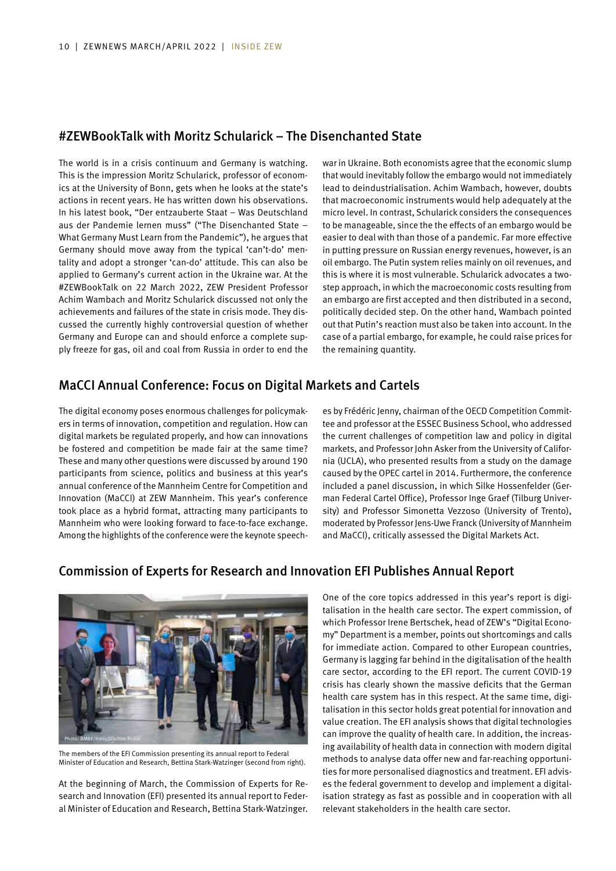## #ZEWBookTalk with Moritz Schularick – The Disenchanted State

The world is in a crisis continuum and Germany is watching. This is the impression Moritz Schularick, professor of economics at the University of Bonn, gets when he looks at the state's actions in recent years. He has written down his observations. In his latest book, "Der entzauberte Staat – Was Deutschland aus der Pandemie lernen muss" ("The Disenchanted State – What Germany Must Learn from the Pandemic"), he argues that Germany should move away from the typical 'can't-do' mentality and adopt a stronger 'can-do' attitude. This can also be applied to Germany's current action in the Ukraine war. At the #ZEWBookTalk on 22 March 2022, ZEW President Professor Achim Wambach and Moritz Schularick discussed not only the achievements and failures of the state in crisis mode. They discussed the currently highly controversial question of whether Germany and Europe can and should enforce a complete supply freeze for gas, oil and coal from Russia in order to end the

war in Ukraine. Both economists agree that the economic slump that would inevitably follow the embargo would not immediately lead to deindustrialisation. Achim Wambach, however, doubts that macroeconomic instruments would help adequately at the micro level. In contrast, Schularick considers the consequences to be manageable, since the the effects of an embargo would be easier to deal with than those of a pandemic. Far more effective in putting pressure on Russian energy revenues, however, is an oil embargo. The Putin system relies mainly on oil revenues, and this is where it is most vulnerable. Schularick advocates a twostep approach, in which the macroeconomic costs resulting from an embargo are first accepted and then distributed in a second, politically decided step. On the other hand, Wambach pointed out that Putin's reaction must also be taken into account. In the case of a partial embargo, for example, he could raise prices for the remaining quantity.

## MaCCI Annual Conference: Focus on Digital Markets and Cartels

The digital economy poses enormous challenges for policymakers in terms of innovation, competition and regulation. How can digital markets be regulated properly, and how can innovations be fostered and competition be made fair at the same time? These and many other questions were discussed by around 190 participants from science, politics and business at this year's annual conference of the Mannheim Centre for Competition and Innovation (MaCCI) at ZEW Mannheim. This year's conference took place as a hybrid format, attracting many participants to Mannheim who were looking forward to face-to-face exchange. Among the highlights of the conference were the keynote speeches by Frédéric Jenny, chairman of the OECD Competition Committee and professor at the ESSEC Business School, who addressed the current challenges of competition law and policy in digital markets, and Professor John Asker from the University of California (UCLA), who presented results from a study on the damage caused by the OPEC cartel in 2014. Furthermore, the conference included a panel discussion, in which Silke Hossenfelder (German Federal Cartel Office), Professor Inge Graef (Tilburg University) and Professor Simonetta Vezzoso (University of Trento), moderated by Professor Jens-Uwe Franck (University of Mannheim and MaCCI), critically assessed the Digital Markets Act.

## Commission of Experts for Research and Innovation EFI Publishes Annual Report



The members of the EFI Commission presenting its annual report to Federal Minister of Education and Research, Bettina Stark-Watzinger (second from right).

At the beginning of March, the Commission of Experts for Research and Innovation (EFI) presented its annual report to Federal Minister of Education and Research, Bettina Stark-Watzinger. One of the core topics addressed in this year's report is digitalisation in the health care sector. The expert commission, of which Professor Irene Bertschek, head of ZEW's "Digital Economy" Department is a member, points out shortcomings and calls for immediate action. Compared to other European countries, Germany is lagging far behind in the digitalisation of the health care sector, according to the EFI report. The current COVID-19 crisis has clearly shown the massive deficits that the German health care system has in this respect. At the same time, digitalisation in this sector holds great potential for innovation and value creation. The EFI analysis shows that digital technologies can improve the quality of health care. In addition, the increasing availability of health data in connection with modern digital methods to analyse data offer new and far-reaching opportunities for more personalised diagnostics and treatment. EFI advises the federal government to develop and implement a digitalisation strategy as fast as possible and in cooperation with all relevant stakeholders in the health care sector.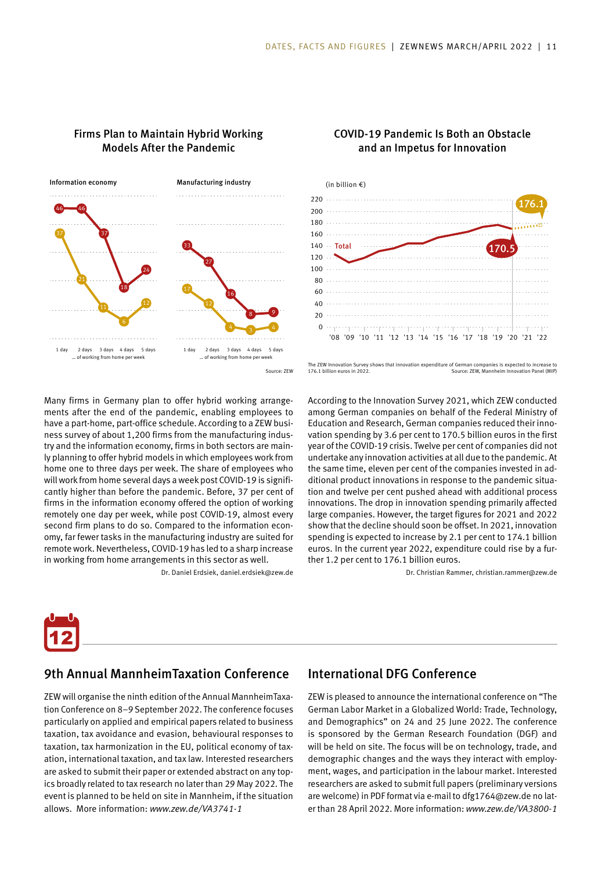

### Firms Plan to Maintain Hybrid Working Models After the Pandemic

### COVID-19 Pandemic Is Both an Obstacle and an Impetus for Innovation



The ZEW Innovation Survey shows that innovation expenditure of German companies is expected to increase to<br>176.1 billion euros in 2022.

According to the Innovation Survey 2021, which ZEW conducted among German companies on behalf of the Federal Ministry of Education and Research, German companies reduced their innovation spending by 3.6 per cent to 170.5 billion euros in the first year of the COVID-19 crisis. Twelve per cent of companies did not undertake any innovation activities at all due to the pandemic. At the same time, eleven per cent of the companies invested in additional product innovations in response to the pandemic situation and twelve per cent pushed ahead with additional process innovations. The drop in innovation spending primarily affected large companies. However, the target figures for 2021 and 2022 show that the decline should soon be offset. In 2021, innovation spending is expected to increase by 2.1 per cent to 174.1 billion euros. In the current year 2022, expenditure could rise by a fur-

Dr. Christian Rammer, christian.rammer@zew.de

Many firms in Germany plan to offer hybrid working arrangements after the end of the pandemic, enabling employees to have a part-home, part-office schedule. According to a ZEW business survey of about 1,200 firms from the manufacturing industry and the information economy, firms in both sectors are mainly planning to offer hybrid models in which employees work from home one to three days per week. The share of employees who will work from home several days a week post COVID-19 is significantly higher than before the pandemic. Before, 37 per cent of firms in the information economy offered the option of working remotely one day per week, while post COVID-19, almost every second firm plans to do so. Compared to the information economy, far fewer tasks in the manufacturing industry are suited for remote work. Nevertheless, COVID-19 has led to a sharp increase in working from home arrangements in this sector as well.

Dr. Daniel Erdsiek, daniel.erdsiek@zew.de



## 9th Annual MannheimTaxation Conference

ZEW will organise the ninth edition of the Annual MannheimTaxation Conference on 8–9 September 2022. The conference focuses particularly on applied and empirical papers related to business taxation, tax avoidance and evasion, behavioural responses to taxation, tax harmonization in the EU, political economy of taxation, international taxation, and tax law. Interested researchers are asked to submit their paper or extended abstract on any topics broadly related to tax research no later than 29 May 2022. The event is planned to be held on site in Mannheim, if the situation allows. More information: *www.zew.de/VA3741-1*

## International DFG Conference

ther 1.2 per cent to 176.1 billion euros.

ZEW is pleased to announce the international conference on "The German Labor Market in a Globalized World: Trade, Technology, and Demographics" on 24 and 25 June 2022. The conference is sponsored by the German Research Foundation (DGF) and will be held on site. The focus will be on technology, trade, and demographic changes and the ways they interact with employment, wages, and participation in the labour market. Interested researchers are asked to submit full papers (preliminary versions are welcome) in PDF format via e-mail to dfg1764@zew.de no later than 28 April 2022. More information: *www.zew.de/VA3800-1*